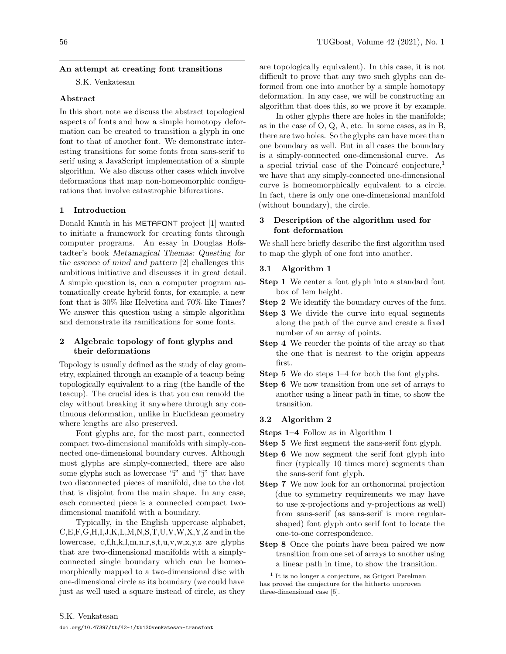## An attempt at creating font transitions

S.K. Venkatesan

## Abstract

In this short note we discuss the abstract topological aspects of fonts and how a simple homotopy deformation can be created to transition a glyph in one font to that of another font. We demonstrate interesting transitions for some fonts from sans-serif to serif using a JavaScript implementation of a simple algorithm. We also discuss other cases which involve deformations that map non-homeomorphic configurations that involve catastrophic bifurcations.

#### 1 Introduction

Donald Knuth in his METAFONT project [1] wanted to initiate a framework for creating fonts through computer programs. An essay in Douglas Hofstadter's book Metamagical Themas: Questing for the essence of mind and pattern [2] challenges this ambitious initiative and discusses it in great detail. A simple question is, can a computer program automatically create hybrid fonts, for example, a new font that is 30% like Helvetica and 70% like Times? We answer this question using a simple algorithm and demonstrate its ramifications for some fonts.

#### 2 Algebraic topology of font glyphs and their deformations

Topology is usually defined as the study of clay geometry, explained through an example of a teacup being topologically equivalent to a ring (the handle of the teacup). The crucial idea is that you can remold the clay without breaking it anywhere through any continuous deformation, unlike in Euclidean geometry where lengths are also preserved.

Font glyphs are, for the most part, connected compact two-dimensional manifolds with simply-connected one-dimensional boundary curves. Although most glyphs are simply-connected, there are also some glyphs such as lowercase "i" and "j" that have two disconnected pieces of manifold, due to the dot that is disjoint from the main shape. In any case, each connected piece is a connected compact twodimensional manifold with a boundary.

Typically, in the English uppercase alphabet, C,E,F,G,H,I,J,K,L,M,N,S,T,U,V,W,X,Y,Z and in the lowercase, c,f,h,k,l,m,n,r,s,t,u,v,w,x,y,z are glyphs that are two-dimensional manifolds with a simplyconnected single boundary which can be homeomorphically mapped to a two-dimensional disc with one-dimensional circle as its boundary (we could have just as well used a square instead of circle, as they

are topologically equivalent). In this case, it is not difficult to prove that any two such glyphs can deformed from one into another by a simple homotopy deformation. In any case, we will be constructing an algorithm that does this, so we prove it by example.

In other glyphs there are holes in the manifolds; as in the case of O, Q, A, etc. In some cases, as in B, there are two holes. So the glyphs can have more than one boundary as well. But in all cases the boundary is a simply-connected one-dimensional curve. As a special trivial case of the Poincaré conjecture,<sup>[1](#page-0-0)</sup> we have that any simply-connected one-dimensional curve is homeomorphically equivalent to a circle. In fact, there is only one one-dimensional manifold (without boundary), the circle.

# 3 Description of the algorithm used for font deformation

We shall here briefly describe the first algorithm used to map the glyph of one font into another.

## 3.1 Algorithm 1

- **Step 1** We center a font glyph into a standard font box of 1em height.
- **Step 2** We identify the boundary curves of the font.
- Step 3 We divide the curve into equal segments along the path of the curve and create a fixed number of an array of points.
- Step 4 We reorder the points of the array so that the one that is nearest to the origin appears first.
- Step 5 We do steps 1–4 for both the font glyphs.
- Step 6 We now transition from one set of arrays to another using a linear path in time, to show the transition.

#### 3.2 Algorithm 2

- Steps 1–4 Follow as in Algorithm 1
- Step 5 We first segment the sans-serif font glyph.
- Step 6 We now segment the serif font glyph into finer (typically 10 times more) segments than the sans-serif font glyph.
- Step 7 We now look for an orthonormal projection (due to symmetry requirements we may have to use x-projections and y-projections as well) from sans-serif (as sans-serif is more regularshaped) font glyph onto serif font to locate the one-to-one correspondence.
- Step 8 Once the points have been paired we now transition from one set of arrays to another using a linear path in time, to show the transition.

<span id="page-0-0"></span><sup>1</sup> It is no longer a conjecture, as Grigori Perelman has proved the conjecture for the hitherto unproven three-dimensional case [5].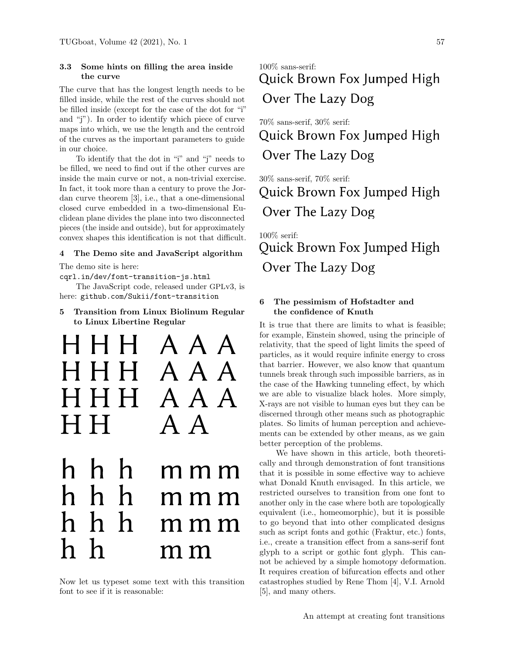# 3.3 Some hints on filling the area inside the curve

The curve that has the longest length needs to be filled inside, while the rest of the curves should not be filled inside (except for the case of the dot for "i" and "j"). In order to identify which piece of curve maps into which, we use the length and the centroid of the curves as the important parameters to guide in our choice.

To identify that the dot in "i" and "j" needs to be filled, we need to find out if the other curves are inside the main curve or not, a non-trivial exercise. In fact, it took more than a century to prove the Jordan curve theorem [3], i.e., that a one-dimensional closed curve embedded in a two-dimensional Euclidean plane divides the plane into two disconnected pieces (the inside and outside), but for approximately convex shapes this identification is not that difficult.

## 4 The Demo site and JavaScript algorithm

The demo site is here:

[cqrl.in/dev/font-transition-js.html](https://cqrl.in/dev/font-transition-js.html)

The JavaScript code, released under GPLv3, is here: [github.com/Sukii/font-transition](https://github.com/Sukii/font-transition)

5 Transition from Linux Biolinum Regular to Linux Libertine Regular



Now let us typeset some text with this transition font to see if it is reasonable:

# 100% sans-serif: Quick Brown Fox Jumped High Over The Lazy Dog

70% sans-serif, 30% serif: Quick Brown Fox Jumped High Over The Lazy Dog

30% sans-serif, 70% serif: Quick Brown Fox Jumped High Over The Lazy Dog

100% serif: Quick Brown Fox Jumped High Over The Lazy Dog

# 6 The pessimism of Hofstadter and the confidence of Knuth

It is true that there are limits to what is feasible; for example, Einstein showed, using the principle of relativity, that the speed of light limits the speed of particles, as it would require infinite energy to cross that barrier. However, we also know that quantum tunnels break through such impossible barriers, as in the case of the Hawking tunneling effect, by which we are able to visualize black holes. More simply, X-rays are not visible to human eyes but they can be discerned through other means such as photographic plates. So limits of human perception and achievements can be extended by other means, as we gain better perception of the problems.

We have shown in this article, both theoretically and through demonstration of font transitions that it is possible in some effective way to achieve what Donald Knuth envisaged. In this article, we restricted ourselves to transition from one font to another only in the case where both are topologically equivalent (i.e., homeomorphic), but it is possible to go beyond that into other complicated designs such as script fonts and gothic (Fraktur, etc.) fonts, i.e., create a transition effect from a sans-serif font glyph to a script or gothic font glyph. This cannot be achieved by a simple homotopy deformation. It requires creation of bifurcation effects and other catastrophes studied by Rene Thom [4], V.I. Arnold [5], and many others.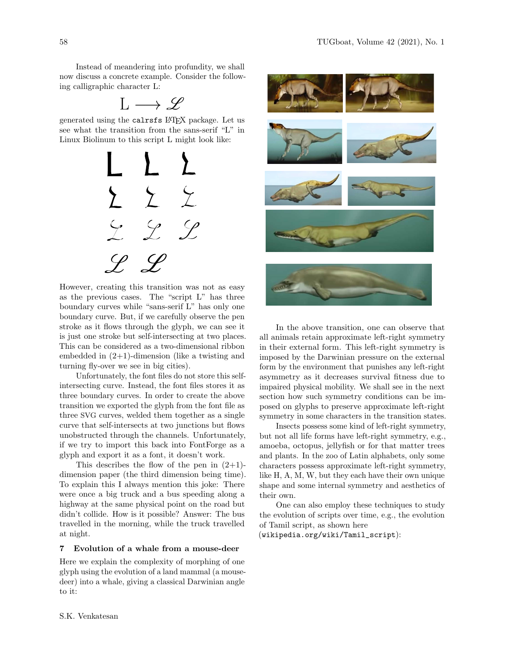Instead of meandering into profundity, we shall now discuss a concrete example. Consider the following calligraphic character L:

$$
L\longrightarrow \mathscr{L}
$$

generated using the calrsfs LATEX package. Let us see what the transition from the sans-serif "L" in Linux Biolinum to this script L might look like:



However, creating this transition was not as easy as the previous cases. The "script L" has three boundary curves while "sans-serif L" has only one boundary curve. But, if we carefully observe the pen stroke as it flows through the glyph, we can see it is just one stroke but self-intersecting at two places. This can be considered as a two-dimensional ribbon embedded in  $(2+1)$ -dimension (like a twisting and turning fly-over we see in big cities).

Unfortunately, the font files do not store this selfintersecting curve. Instead, the font files stores it as three boundary curves. In order to create the above transition we exported the glyph from the font file as three SVG curves, welded them together as a single curve that self-intersects at two junctions but flows unobstructed through the channels. Unfortunately, if we try to import this back into FontForge as a glyph and export it as a font, it doesn't work.

This describes the flow of the pen in  $(2+1)$ dimension paper (the third dimension being time). To explain this I always mention this joke: There were once a big truck and a bus speeding along a highway at the same physical point on the road but didn't collide. How is it possible? Answer: The bus travelled in the morning, while the truck travelled at night.

#### 7 Evolution of a whale from a mouse-deer

Here we explain the complexity of morphing of one glyph using the evolution of a land mammal (a mousedeer) into a whale, giving a classical Darwinian angle to it:



In the above transition, one can observe that all animals retain approximate left-right symmetry in their external form. This left-right symmetry is imposed by the Darwinian pressure on the external form by the environment that punishes any left-right asymmetry as it decreases survival fitness due to impaired physical mobility. We shall see in the next section how such symmetry conditions can be imposed on glyphs to preserve approximate left-right symmetry in some characters in the transition states.

Insects possess some kind of left-right symmetry, but not all life forms have left-right symmetry, e.g., amoeba, octopus, jellyfish or for that matter trees and plants. In the zoo of Latin alphabets, only some characters possess approximate left-right symmetry, like H, A, M, W, but they each have their own unique shape and some internal symmetry and aesthetics of their own.

One can also employ these techniques to study the evolution of scripts over time, e.g., the evolution of Tamil script, as shown here

([wikipedia.org/wiki/Tamil\\_script](https://wikipedia.org/wiki/Tamil_script)):